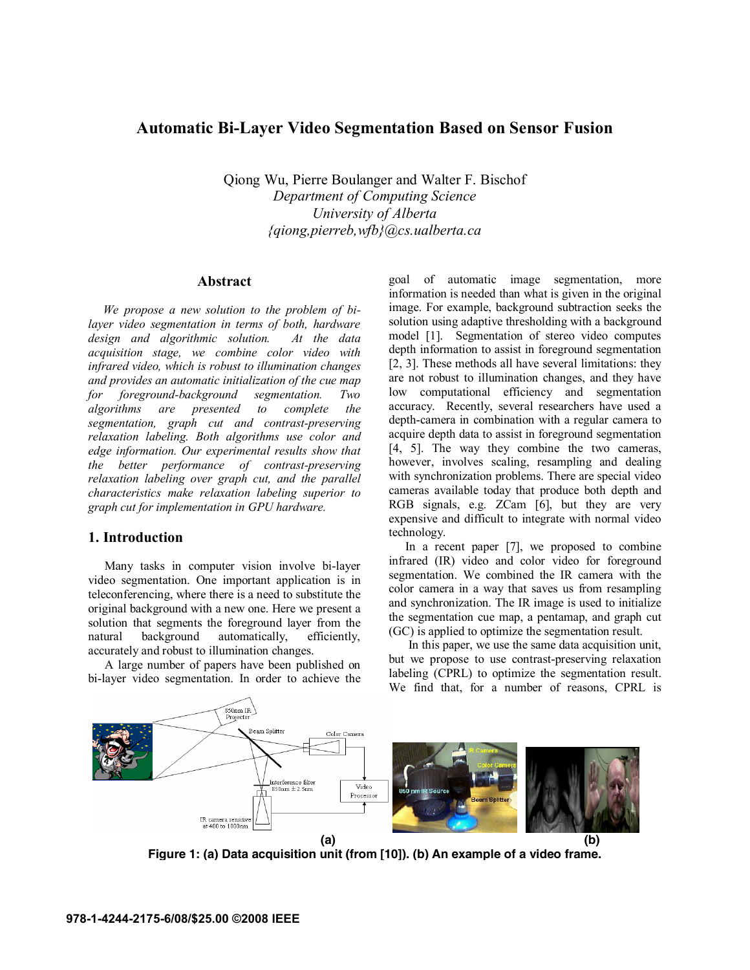# **Automatic Bi-Layer Video Segmentation Based on Sensor Fusion**

Qiong Wu, Pierre Boulanger and Walter F. Bischof *Department of Computing Science University of Alberta {qiong,pierreb,wfb}@cs.ualberta.ca* 

### **Abstract**

*We propose a new solution to the problem of bilayer video segmentation in terms of both, hardware design and algorithmic solution. At the data acquisition stage, we combine color video with infrared video, which is robust to illumination changes and provides an automatic initialization of the cue map for foreground-background segmentation. Two algorithms are presented to complete the segmentation, graph cut and contrast-preserving relaxation labeling. Both algorithms use color and edge information. Our experimental results show that the better performance of contrast-preserving relaxation labeling over graph cut, and the parallel characteristics make relaxation labeling superior to graph cut for implementation in GPU hardware.* 

#### **1. Introduction**

Many tasks in computer vision involve bi-layer video segmentation. One important application is in teleconferencing, where there is a need to substitute the original background with a new one. Here we present a solution that segments the foreground layer from the natural background automatically, efficiently, accurately and robust to illumination changes.

A large number of papers have been published on bi-layer video segmentation. In order to achieve the

goal of automatic image segmentation, more information is needed than what is given in the original image. For example, background subtraction seeks the solution using adaptive thresholding with a background model [1]. Segmentation of stereo video computes depth information to assist in foreground segmentation [2, 3]. These methods all have several limitations: they are not robust to illumination changes, and they have low computational efficiency and segmentation accuracy. Recently, several researchers have used a depth-camera in combination with a regular camera to acquire depth data to assist in foreground segmentation [4, 5]. The way they combine the two cameras, however, involves scaling, resampling and dealing with synchronization problems. There are special video cameras available today that produce both depth and RGB signals, e.g. ZCam [6], but they are very expensive and difficult to integrate with normal video technology.

In a recent paper [7], we proposed to combine infrared (IR) video and color video for foreground segmentation. We combined the IR camera with the color camera in a way that saves us from resampling and synchronization. The IR image is used to initialize the segmentation cue map, a pentamap, and graph cut (GC) is applied to optimize the segmentation result.

 In this paper, we use the same data acquisition unit, but we propose to use contrast-preserving relaxation labeling (CPRL) to optimize the segmentation result. We find that, for a number of reasons, CPRL is



**Figure 1: (a) Data acquisition unit (from [10]). (b) An example of a video frame.**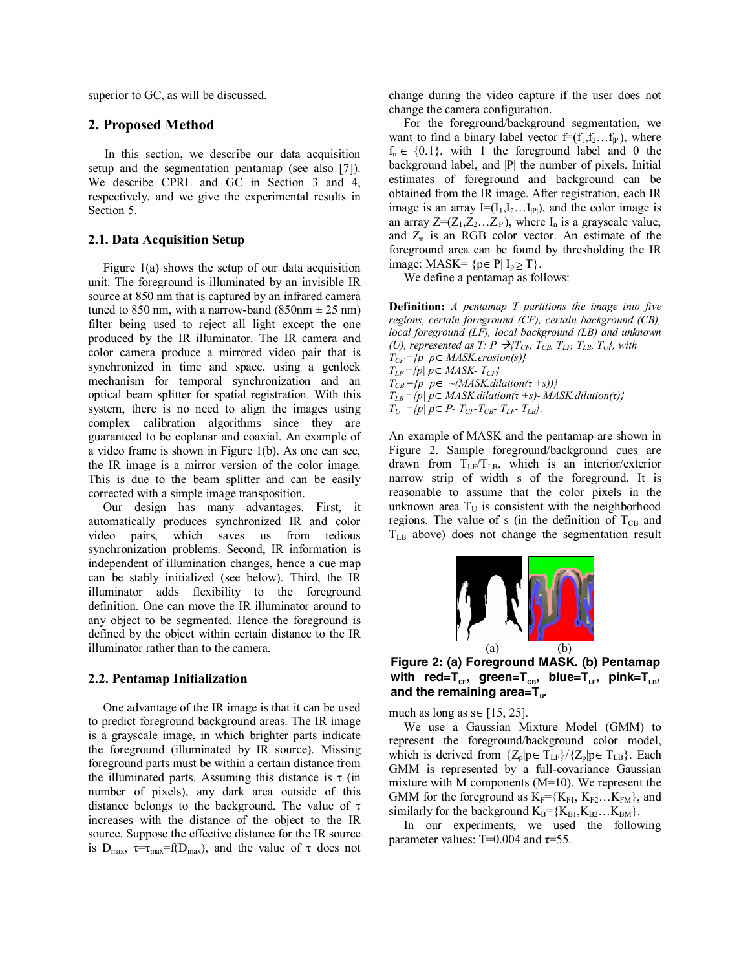superior to GC, as will be discussed.

# **2. Proposed Method**

In this section, we describe our data acquisition setup and the segmentation pentamap (see also [7]). We describe CPRL and GC in Section 3 and 4, respectively, and we give the experimental results in Section 5.

#### **2.1. Data Acquisition Setup**

Figure 1(a) shows the setup of our data acquisition unit. The foreground is illuminated by an invisible IR source at 850 nm that is captured by an infrared camera tuned to 850 nm, with a narrow-band (850 nm  $\pm$  25 nm) filter being used to reject all light except the one produced by the IR illuminator. The IR camera and color camera produce a mirrored video pair that is synchronized in time and space, using a genlock mechanism for temporal synchronization and an optical beam splitter for spatial registration. With this system, there is no need to align the images using complex calibration algorithms since they are guaranteed to be coplanar and coaxial. An example of a video frame is shown in Figure 1(b). As one can see, the IR image is a mirror version of the color image. This is due to the beam splitter and can be easily corrected with a simple image transposition.

Our design has many advantages. First, it automatically produces synchronized IR and color video pairs, which saves us from tedious synchronization problems. Second, IR information is independent of illumination changes, hence a cue map can be stably initialized (see below). Third, the IR illuminator adds flexibility to the foreground definition. One can move the IR illuminator around to any object to be segmented. Hence the foreground is defined by the object within certain distance to the IR illuminator rather than to the camera.

### **2.2. Pentamap Initialization**

One advantage of the IR image is that it can be used to predict foreground background areas. The IR image is a grayscale image, in which brighter parts indicate the foreground (illuminated by IR source). Missing foreground parts must be within a certain distance from the illuminated parts. Assuming this distance is  $\tau$  (in number of pixels), any dark area outside of this distance belongs to the background. The value of  $\tau$ increases with the distance of the object to the IR source. Suppose the effective distance for the IR source is  $D_{\text{max}}$ ,  $\tau = \tau_{\text{max}} = f(D_{\text{max}})$ , and the value of  $\tau$  does not

change during the video capture if the user does not change the camera configuration.

For the foreground/background segmentation, we want to find a binary label vector  $f=(f_1,f_2...f_p)$ , where  $f_n \in \{0,1\}$ , with 1 the foreground label and 0 the background label, and |P| the number of pixels. Initial estimates of foreground and background can be obtained from the IR image. After registration, each IR image is an array  $I=[I_1,I_2...I_{P}])$ , and the color image is an array  $Z=(Z_1,Z_2...Z_{|P|})$ , where  $I_n$  is a grayscale value, and  $Z_n$  is an RGB color vector. An estimate of the foreground area can be found by thresholding the IR image: MASK=  ${p \in P | I_p > T}.$ 

We define a pentamap as follows:

**Definition:** *A pentamap T partitions the image into five regions, certain foreground (CF), certain background (CB), local foreground (LF), local background (LB) and unknown (U), represented as T: P*  $\rightarrow$   $T_{CF}$ ,  $T_{CB}$ ,  $T_{LE}$ ,  $T_{LB}$ ,  $T_{U}$ , with *TCF ={p| p*∈*MASK.erosion(s)}*   $T_{LF} = {p \mid p \in MAX- T_{CF}}$  $T_{CB} = {p | p \in \neg (MASK\,\,(\tau + s))}$ *TLB ={p| p*∈*MASK.dilation(τ +s)- MASK.dilation(τ)}*   $T_U$  ={p| p∈ P-  $T_{CF}$ - $T_{CB}$ -  $T_{LF}$   $T_{LB}$ }.

An example of MASK and the pentamap are shown in Figure 2. Sample foreground/background cues are drawn from  $T_{LF}/T_{LB}$ , which is an interior/exterior narrow strip of width s of the foreground. It is reasonable to assume that the color pixels in the unknown area  $T<sub>U</sub>$  is consistent with the neighborhood regions. The value of s (in the definition of  $T_{CB}$  and  $T_{LB}$  above) does not change the segmentation result



**Figure 2: (a) Foreground MASK. (b) Pentamap**  with red=T<sub>CF</sub>, green=T<sub>CB</sub>, blue=T<sub>LF</sub>, pink=T<sub>LB</sub>, and the remaining area=T<sub>u</sub>.

much as long as  $s \in [15, 25]$ .

We use a Gaussian Mixture Model (GMM) to represent the foreground/background color model, which is derived from  $\{Z_p|p \in T_{LF}\}/\{Z_p|p \in T_{LB}\}$ . Each GMM is represented by a full-covariance Gaussian mixture with M components (M=10). We represent the GMM for the foreground as  $K_F=\{K_{F1}, K_{F2}...K_{FM}\}\$ , and similarly for the background  $K_B = \{K_{B1}, K_{B2} \dots K_{BM}\}.$ 

In our experiments, we used the following parameter values: T=0.004 and  $\tau$ =55.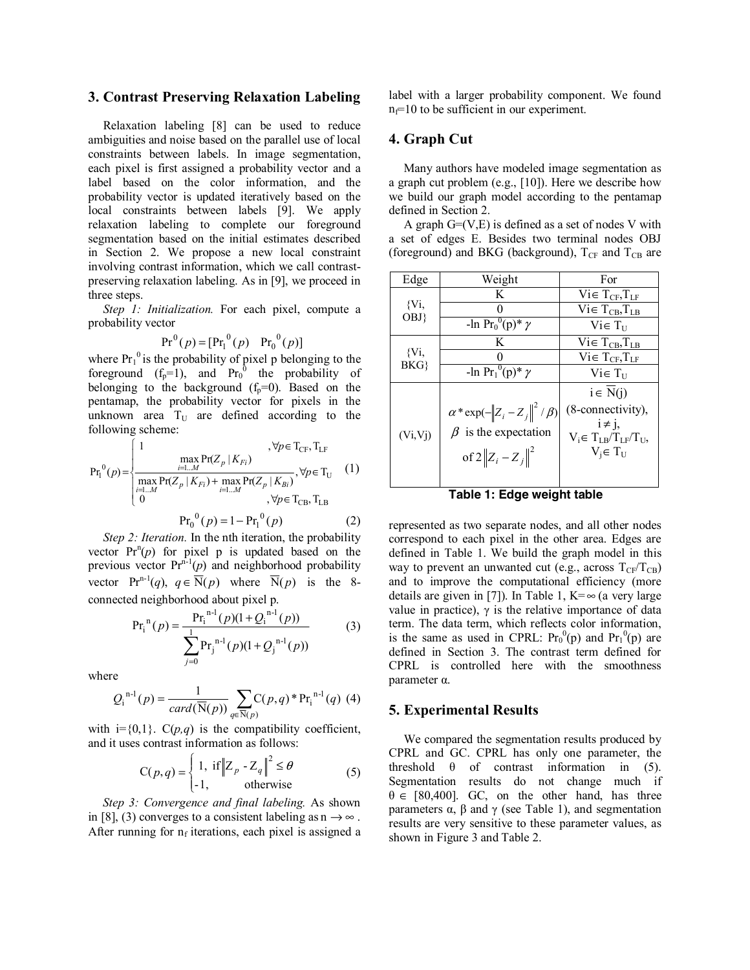# **3. Contrast Preserving Relaxation Labeling**

Relaxation labeling [8] can be used to reduce ambiguities and noise based on the parallel use of local constraints between labels. In image segmentation, each pixel is first assigned a probability vector and a label based on the color information, and the probability vector is updated iteratively based on the local constraints between labels [9]. We apply relaxation labeling to complete our foreground segmentation based on the initial estimates described in Section 2. We propose a new local constraint involving contrast information, which we call contrastpreserving relaxation labeling. As in [9], we proceed in three steps.

*Step 1: Initialization.* For each pixel, compute a probability vector

$$
Pr^{0}(p) = [Pr_{1}^{0}(p) \quad Pr_{0}^{0}(p)]
$$

where  $Pr_1^0$  is the probability of pixel p belonging to the foreground  $(f_p=1)$ , and  $Pr_0^0$  the probability of belonging to the background  $(f_p=0)$ . Based on the pentamap, the probability vector for pixels in the unknown area  $T_U$  are defined according to the following scheme:

$$
Pr_{I}^{0}(p) = \begin{cases} 1 & , \forall p \in T_{CF}, T_{LF} \\ \frac{\max_{i=1...M} Pr(Z_{p} | K_{Fi})}{\max_{i=1...M} Pr(Z_{p} | K_{Fi}) + \max_{i=1...M} Pr(Z_{p} | K_{Bi})}, \forall p \in T_{U} \\ 0 & , \forall p \in T_{CB}, T_{LB} \end{cases} (1)
$$

$$
Pr_{I}^{0}(p) = 1 - Pr_{I}^{0}(p) \qquad (2)
$$

*Step 2: Iteration.* In the nth iteration, the probability vector  $Pr^{n}(p)$  for pixel p is updated based on the previous vector  $Pr<sup>n-1</sup>(p)$  and neighborhood probability vector  $Pr^{n-1}(q)$ ,  $q \in \overline{N}(p)$  where  $\overline{N}(p)$  is the 8connected neighborhood about pixel p.

$$
Pr_{i}^{n}(p) = \frac{Pr_{i}^{n-1}(p)(1 + Q_{i}^{n-1}(p))}{\sum_{j=0}^{1} Pr_{j}^{n-1}(p)(1 + Q_{j}^{n-1}(p))}
$$
(3)

where

$$
Q_{i}^{n-1}(p) = \frac{1}{card(\overline{N}(p))} \sum_{q \in \overline{N}(p)} C(p,q) * Pr_{i}^{n-1}(q)
$$
 (4)

with  $i={0,1}$ .  $C(p,q)$  is the compatibility coefficient, and it uses contrast information as follows:

$$
C(p,q) = \begin{cases} 1, & \text{if } ||Z_p - Z_q||^2 \le \theta \\ -1, & \text{otherwise} \end{cases}
$$
 (5)

*Step 3: Convergence and final labeling.* As shown in [8], (3) converges to a consistent labeling as  $n \rightarrow \infty$ . After running for  $n_f$  iterations, each pixel is assigned a

label with a larger probability component. We found  $n_f=10$  to be sufficient in our experiment.

# **4. Graph Cut**

Many authors have modeled image segmentation as a graph cut problem (e.g., [10]). Here we describe how we build our graph model according to the pentamap defined in Section 2.

A graph  $G=(V,E)$  is defined as a set of nodes V with a set of edges E. Besides two terminal nodes OBJ (foreground) and BKG (background),  $T_{CF}$  and  $T_{CB}$  are

| Edge         | Weight                                                            | For                           |
|--------------|-------------------------------------------------------------------|-------------------------------|
| {Vi,<br>OBJ} | K                                                                 | $Vi \in T_{CF}$ , $T_{LF}$    |
|              |                                                                   | $Vi \in T_{CB}$ , $T_{LB}$    |
|              | -ln $Pr_0^0(p)^* \gamma$                                          | $Vi \in T_{11}$               |
| {Vi,<br>BKG  | K                                                                 | $Vi \in T_{CB}$ , $T_{LB}$    |
|              |                                                                   | $Vi \in T_{CF}$ , $T_{LF}$    |
|              | $-\ln \overline{\Pr_1^0(p)^* \gamma}$                             | $Vi \in T_{II}$               |
| (Vi, Vj)     |                                                                   | $i \in N(i)$                  |
|              | $\alpha^*$ exp $\left(-\left\ Z_i - Z_j\right\ ^2 / \beta\right)$ | (8-connectivity),             |
|              | $\beta$ is the expectation                                        | $i \neq j$ ,                  |
|              |                                                                   | $V_i \in T_{LB}/T_{LF}/T_U$ , |
|              | of $2  Z_i - Z_j  ^2$                                             | $V_i \in T_U$                 |
|              |                                                                   |                               |
|              |                                                                   |                               |

**Table 1: Edge weight table** 

represented as two separate nodes, and all other nodes correspond to each pixel in the other area. Edges are defined in Table 1. We build the graph model in this way to prevent an unwanted cut (e.g., across  $T_{CF}/T_{CB}$ ) and to improve the computational efficiency (more details are given in [7]). In Table 1,  $K=\infty$  (a very large value in practice),  $γ$  is the relative importance of data term. The data term, which reflects color information, is the same as used in CPRL:  $Pr_0^0(p)$  and  $Pr_1^0(p)$  are defined in Section 3. The contrast term defined for CPRL is controlled here with the smoothness parameter α.

# **5. Experimental Results**

We compared the segmentation results produced by CPRL and GC. CPRL has only one parameter, the threshold  $\theta$  of contrast information in (5). Segmentation results do not change much if  $\theta \in [80, 400]$ . GC, on the other hand, has three parameters  $\alpha$ ,  $\beta$  and  $\gamma$  (see Table 1), and segmentation results are very sensitive to these parameter values, as shown in Figure 3 and Table 2.